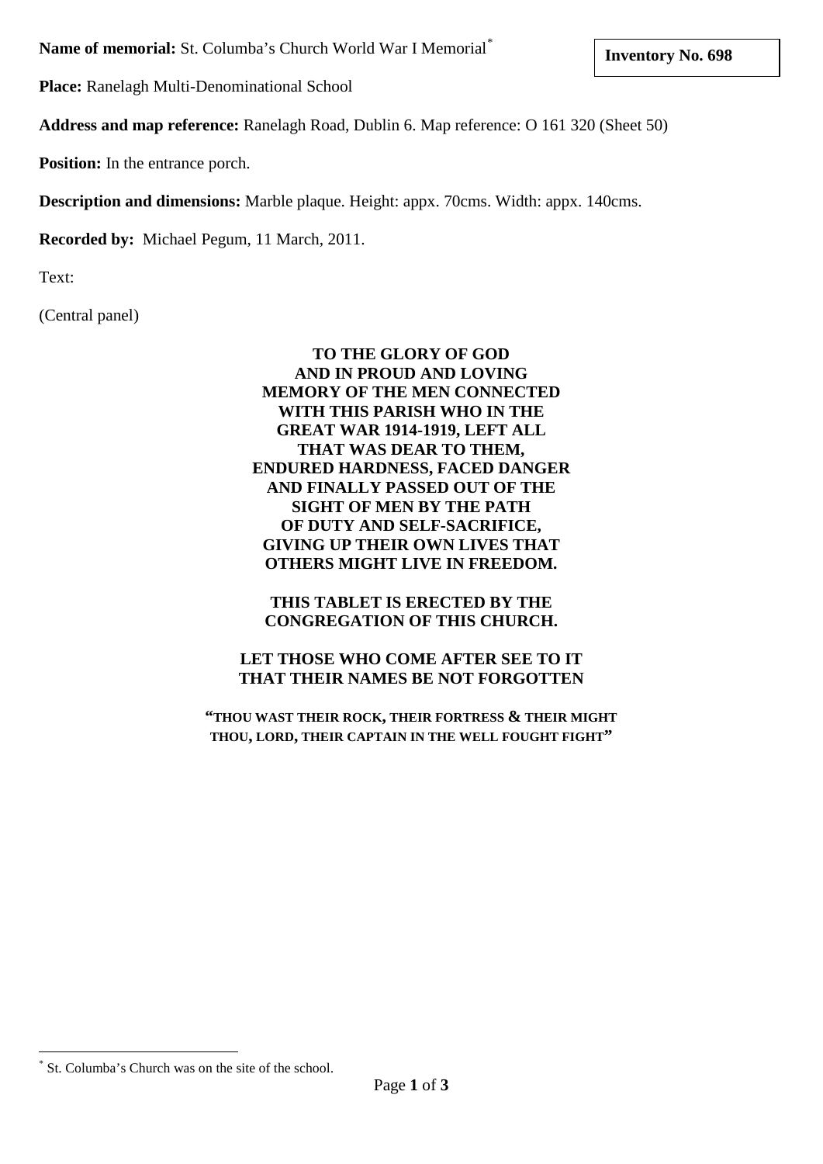**Name of memorial:** St. Columba's Church World War I Memorial [\\*](#page-0-0)

**Place:** Ranelagh Multi-Denominational School

**Address and map reference:** Ranelagh Road, Dublin 6. Map reference: O 161 320 (Sheet 50)

**Position:** In the entrance porch.

**Description and dimensions:** Marble plaque. Height: appx. 70cms. Width: appx. 140cms.

**Recorded by:** Michael Pegum, 11 March, 2011.

Text:

(Central panel)

## **TO THE GLORY OF GOD AND IN PROUD AND LOVING MEMORY OF THE MEN CONNECTED WITH THIS PARISH WHO IN THE GREAT WAR 1914-1919, LEFT ALL THAT WAS DEAR TO THEM, ENDURED HARDNESS, FACED DANGER AND FINALLY PASSED OUT OF THE SIGHT OF MEN BY THE PATH OF DUTY AND SELF-SACRIFICE, GIVING UP THEIR OWN LIVES THAT OTHERS MIGHT LIVE IN FREEDOM.**

**THIS TABLET IS ERECTED BY THE CONGREGATION OF THIS CHURCH.**

# **LET THOSE WHO COME AFTER SEE TO IT THAT THEIR NAMES BE NOT FORGOTTEN**

**"THOU WAST THEIR ROCK, THEIR FORTRESS & THEIR MIGHT THOU, LORD, THEIR CAPTAIN IN THE WELL FOUGHT FIGHT"**

<span id="page-0-0"></span>St. Columba's Church was on the site of the school.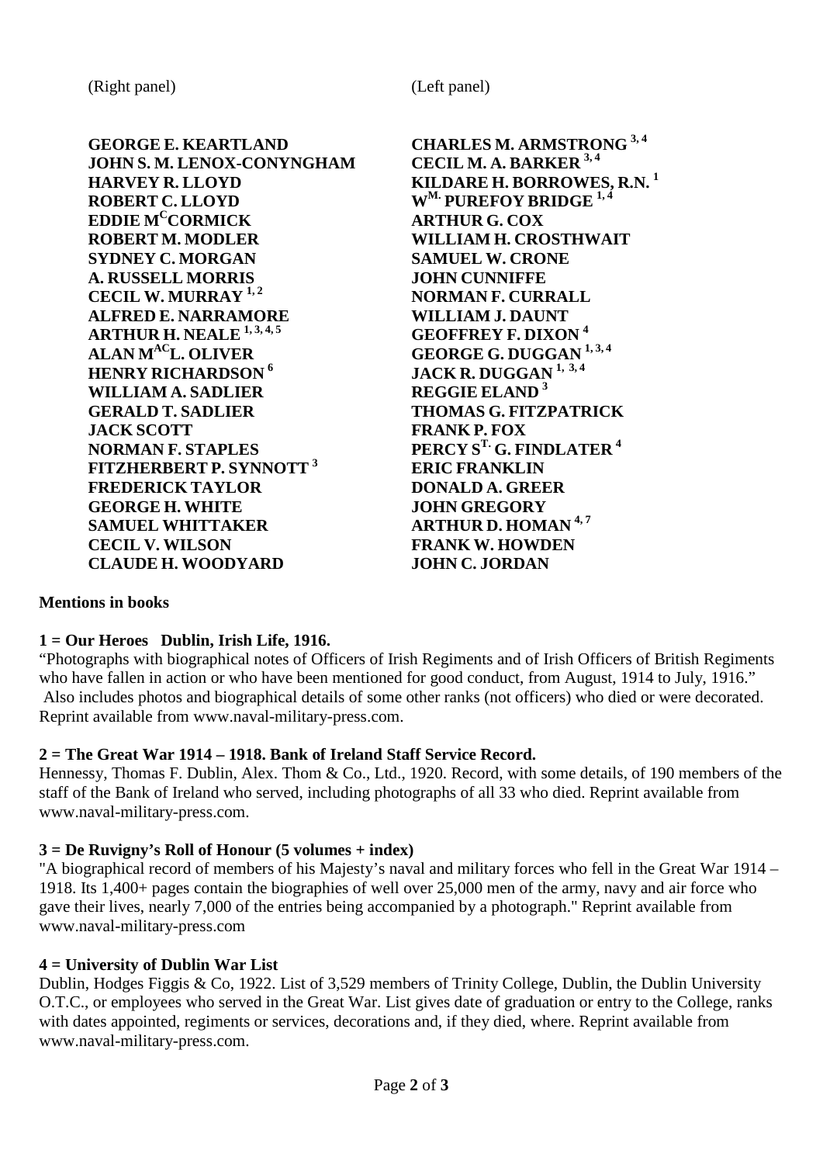**GEORGE E. KEARTLAND CHARLES M. ARMSTRONG 3, <sup>4</sup> JOHN S. M. LENOX-CONYNGHAM HARVEY R. LLOYD KILDARE H. BORROWES, R.N. <sup>1</sup>**  $E$ **DDIE M<sup>C</sup>CORMICK ROBERT M. MODLER WILLIAM H. CROSTHWAIT SYDNEY C. MORGAN SAMUEL W. CRONE A. RUSSELL MORRIS JOHN CUNNIFFE CECIL W. MURRAY 1, <sup>2</sup> NORMAN F. CURRALL ALFRED E. NARRAMORE WILLIAM J. DAUNT**<br>**ARTHUR H. NEALE**<sup>1,3,4,5</sup> **CEOFFREY F. DIXON**<sup>4</sup> **ARTHUR H. NEALE** <sup>1, 3, 4, 5<br>**ALAN M<sup>AC</sup>L. OLIVER**</sup> **ALAN**  $M^{AC}$ **L. OLIVER GEORGE G. DUGGAN**  $^{1,3,4}$ <br>**HENRY RICHARDSON 6 CORGE LACK R. DUGGAN**  $^{1,3,4}$ **WILLIAM A. SADLIER GERALD T. SADLIER THOMAS G. FITZPATRICK JACK SCOTT FRANK P. FOX FITZHERBERT P. SYNNOTT**<sup>3</sup> **FREDERICK TAYLOR DONALD A. GREER**  $GEORGE$ **H.** WHITE **SAMUEL WHITTAKER ARTHUR D. HOMAN 4, <sup>7</sup> CECIL V. WILSON FRANK W. HOWDEN CLAUDE H. WOODYARD JOHN C. JORDAN**

**ROBERTIVE BRIDGE** <sup>1,4</sup><br>**ARTHUR G. COX HEARRAY EXAMPLE BLAND 6 REGGIE ELAND 6 FERCY S<sup>T.</sup> G. FINDLATER<sup>4</sup><br><b>ERIC FRANKLIN** 

## **Mentions in books**

## **1 = Our Heroes Dublin, Irish Life, 1916.**

"Photographs with biographical notes of Officers of Irish Regiments and of Irish Officers of British Regiments who have fallen in action or who have been mentioned for good conduct, from August, 1914 to July, 1916." Also includes photos and biographical details of some other ranks (not officers) who died or were decorated. Reprint available from [www.naval-military-press.com.](http://www.naval-military-press.com/)

## **2 = The Great War 1914 – 1918. Bank of Ireland Staff Service Record.**

Hennessy, Thomas F. Dublin, Alex. Thom & Co., Ltd., 1920. Record, with some details, of 190 members of the staff of the Bank of Ireland who served, including photographs of all 33 who died. Reprint available from [www.naval-military-press.com.](http://www.naval-military-press.com/)

#### **3 = De Ruvigny's Roll of Honour (5 volumes + index)**

"A biographical record of members of his Majesty's naval and military forces who fell in the Great War 1914 – 1918. Its 1,400+ pages contain the biographies of well over 25,000 men of the army, navy and air force who gave their lives, nearly 7,000 of the entries being accompanied by a photograph." Reprint available from [www.naval-military-press.com](http://www.naval-military-press.com/)

## **4 = University of Dublin War List**

Dublin, Hodges Figgis & Co, 1922. List of 3,529 members of Trinity College, Dublin, the Dublin University O.T.C., or employees who served in the Great War. List gives date of graduation or entry to the College, ranks with dates appointed, regiments or services, decorations and, if they died, where. Reprint available from [www.naval-military-press.com.](http://www.naval-military-press.com/)